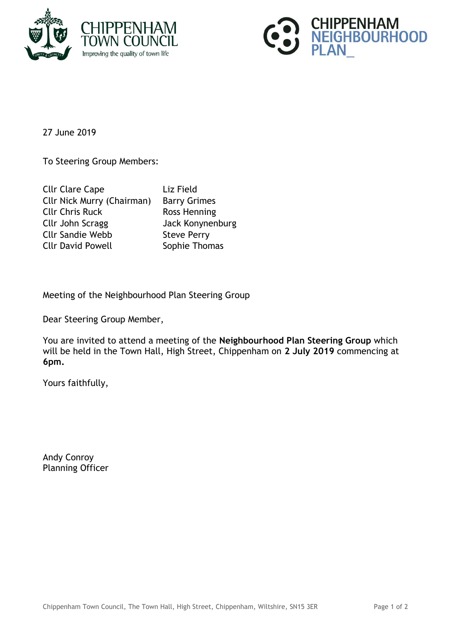



27 June 2019

To Steering Group Members:

| <b>Cllr Clare Cape</b>            | Liz Field           |
|-----------------------------------|---------------------|
| <b>Cllr Nick Murry (Chairman)</b> | <b>Barry Grimes</b> |
| <b>Cllr Chris Ruck</b>            | Ross Henning        |
| Cllr John Scragg                  | Jack Konynenburg    |
| <b>Cllr Sandie Webb</b>           | <b>Steve Perry</b>  |
| <b>Cllr David Powell</b>          | Sophie Thomas       |
|                                   |                     |

Meeting of the Neighbourhood Plan Steering Group

Dear Steering Group Member,

You are invited to attend a meeting of the **Neighbourhood Plan Steering Group** which will be held in the Town Hall, High Street, Chippenham on **2 July 2019** commencing at **6pm.**

Yours faithfully,

Andy Conroy Planning Officer